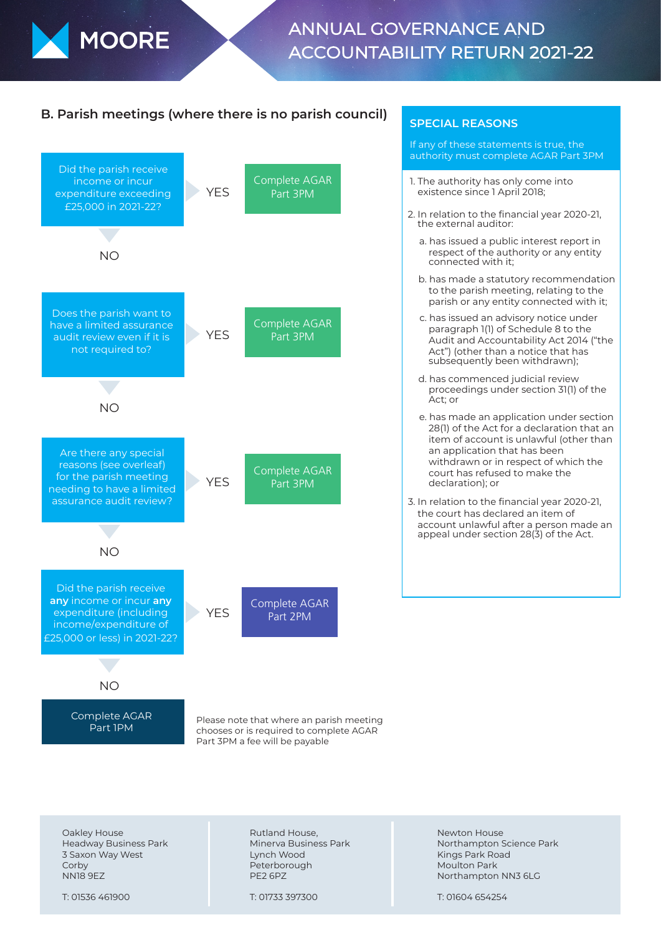

# ANNUAL GOVERNANCE AND ACCOUNTABILITY RETURN 2021-22

## **B. Parish meetings (where there is no parish council)** SPECIAL REASONS



If any of these statements is true, the authority must complete AGAR Part 3PM

- 1. The authority has only come into existence since 1 April 2018;
- 2. In relation to the financial year 2020-21, the external auditor:
	- a. has issued a public interest report in respect of the authority or any entity connected with it;
	- b. has made a statutory recommendation to the parish meeting, relating to the parish or any entity connected with it;
	- c. has issued an advisory notice under paragraph 1(1) of Schedule 8 to the Audit and Accountability Act 2014 ("the Act") (other than a notice that has subsequently been withdrawn);
	- d. has commenced judicial review proceedings under section 31(1) of the Act; or
	- e. has made an application under section 28(1) of the Act for a declaration that an item of account is unlawful (other than an application that has been withdrawn or in respect of which the court has refused to make the declaration); or
- 3. In relation to the financial year 2020-21, the court has declared an item of account unlawful after a person made an appeal under section 28(3) of the Act.

chooses or is required to complete AGAR Part 3PM a fee will be payable

Oakley House Headway Business Park 3 Saxon Way West **Corby** NN18 9EZ

T: 01536 461900

Rutland House, Minerva Business Park Lynch Wood Peterborough PE2 6PZ

T: 01733 397300

Newton House Northampton Science Park Kings Park Road Moulton Park Northampton NN3 6LG

T: 01604 654254